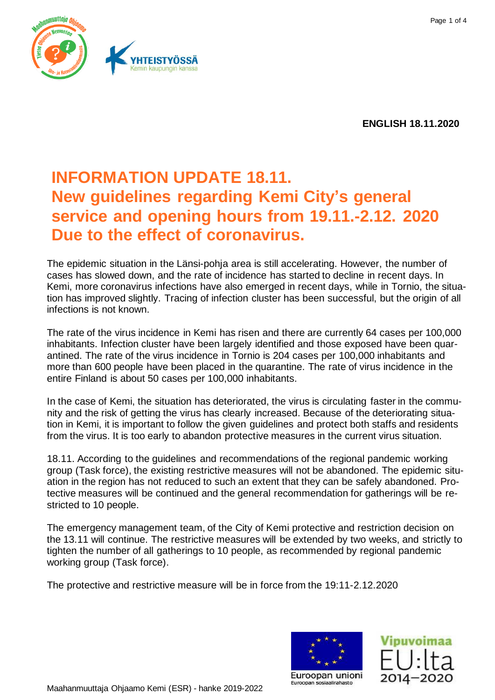

**ENGLISH 18.11.2020**

## **INFORMATION UPDATE 18.11. New guidelines regarding Kemi City's general service and opening hours from 19.11.-2.12. 2020 Due to the effect of coronavirus.**

The epidemic situation in the Länsi-pohja area is still accelerating. However, the number of cases has slowed down, and the rate of incidence has started to decline in recent days. In Kemi, more coronavirus infections have also emerged in recent days, while in Tornio, the situation has improved slightly. Tracing of infection cluster has been successful, but the origin of all infections is not known.

The rate of the virus incidence in Kemi has risen and there are currently 64 cases per 100,000 inhabitants. Infection cluster have been largely identified and those exposed have been quarantined. The rate of the virus incidence in Tornio is 204 cases per 100,000 inhabitants and more than 600 people have been placed in the quarantine. The rate of virus incidence in the entire Finland is about 50 cases per 100,000 inhabitants.

In the case of Kemi, the situation has deteriorated, the virus is circulating faster in the community and the risk of getting the virus has clearly increased. Because of the deteriorating situation in Kemi, it is important to follow the given guidelines and protect both staffs and residents from the virus. It is too early to abandon protective measures in the current virus situation.

18.11. According to the guidelines and recommendations of the regional pandemic working group (Task force), the existing restrictive measures will not be abandoned. The epidemic situation in the region has not reduced to such an extent that they can be safely abandoned. Protective measures will be continued and the general recommendation for gatherings will be restricted to 10 people.

The emergency management team, of the City of Kemi protective and restriction decision on the 13.11 will continue. The restrictive measures will be extended by two weeks, and strictly to tighten the number of all gatherings to 10 people, as recommended by regional pandemic working group (Task force).

The protective and restrictive measure will be in force from the 19:11-2.12.2020



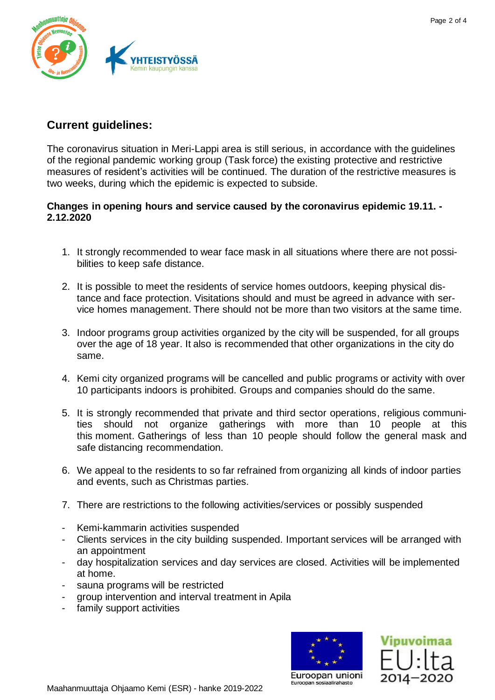

## **Current guidelines:**

The coronavirus situation in Meri-Lappi area is still serious, in accordance with the guidelines of the regional pandemic working group (Task force) the existing protective and restrictive measures of resident's activities will be continued. The duration of the restrictive measures is two weeks, during which the epidemic is expected to subside.

## **Changes in opening hours and service caused by the coronavirus epidemic 19.11. - 2.12.2020**

- 1. It strongly recommended to wear face mask in all situations where there are not possibilities to keep safe distance.
- 2. It is possible to meet the residents of service homes outdoors, keeping physical distance and face protection. Visitations should and must be agreed in advance with service homes management. There should not be more than two visitors at the same time.
- 3. Indoor programs group activities organized by the city will be suspended, for all groups over the age of 18 year. It also is recommended that other organizations in the city do same.
- 4. Kemi city organized programs will be cancelled and public programs or activity with over 10 participants indoors is prohibited. Groups and companies should do the same.
- 5. It is strongly recommended that private and third sector operations, religious communities should not organize gatherings with more than 10 people at this this moment. Gatherings of less than 10 people should follow the general mask and safe distancing recommendation.
- 6. We appeal to the residents to so far refrained from organizing all kinds of indoor parties and events, such as Christmas parties.
- 7. There are restrictions to the following activities/services or possibly suspended
- Kemi-kammarin activities suspended
- Clients services in the city building suspended. Important services will be arranged with an appointment
- day hospitalization services and day services are closed. Activities will be implemented at home.
- sauna programs will be restricted
- group intervention and interval treatment in Apila
- family support activities





Euroopan unioni Euroopan sosiaalirahasto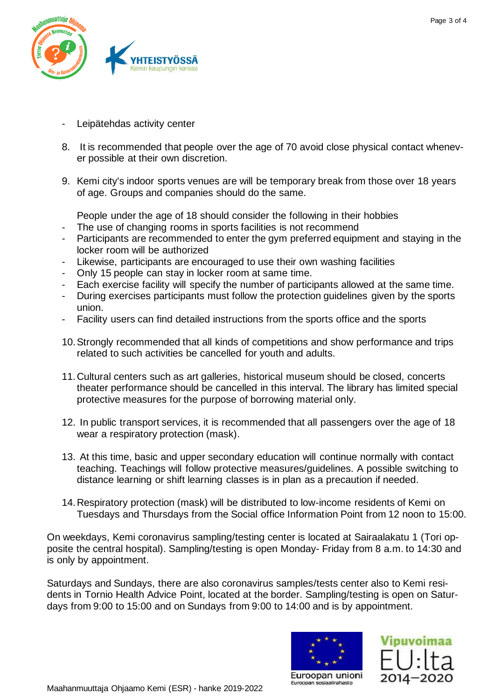

- Leipätehdas activity center
- 8. It is recommended that people over the age of 70 avoid close physical contact whenever possible at their own discretion.
- 9. Kemi city's indoor sports venues are will be temporary break from those over 18 years of age. Groups and companies should do the same.

People under the age of 18 should consider the following in their hobbies

- The use of changing rooms in sports facilities is not recommend
- Participants are recommended to enter the gym preferred equipment and staying in the locker room will be authorized
- Likewise, participants are encouraged to use their own washing facilities
- Only 15 people can stay in locker room at same time.
- Each exercise facility will specify the number of participants allowed at the same time.
- During exercises participants must follow the protection guidelines given by the sports union.
- Facility users can find detailed instructions from the sports office and the sports
- 10.Strongly recommended that all kinds of competitions and show performance and trips related to such activities be cancelled for youth and adults.
- 11.Cultural centers such as art galleries, historical museum should be closed, concerts theater performance should be cancelled in this interval. The library has limited special protective measures for the purpose of borrowing material only.
- 12. In public transport services, it is recommended that all passengers over the age of 18 wear a respiratory protection (mask).
- 13. At this time, basic and upper secondary education will continue normally with contact teaching. Teachings will follow protective measures/guidelines. A possible switching to distance learning or shift learning classes is in plan as a precaution if needed.
- 14.Respiratory protection (mask) will be distributed to low-income residents of Kemi on Tuesdays and Thursdays from the Social office Information Point from 12 noon to 15:00.

On weekdays, Kemi coronavirus sampling/testing center is located at Sairaalakatu 1 (Tori opposite the central hospital). Sampling/testing is open Monday- Friday from 8 a.m. to 14:30 and is only by appointment.

Saturdays and Sundays, there are also coronavirus samples/tests center also to Kemi residents in Tornio Health Advice Point, located at the border. Sampling/testing is open on Saturdays from 9:00 to 15:00 and on Sundays from 9:00 to 14:00 and is by appointment.



Euroopan sosiaalirahasto